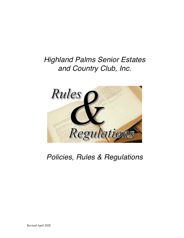# *Highland Palms Senior Estates and Country Club, Inc.*



# *Policies, Rules & Regulations*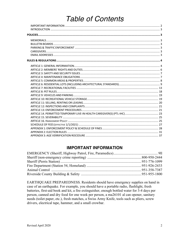# **Table of Contents**

### **IMPORTANT INFORMATION**

EARTHQUAKE PREPAREDNESS. Residents should have emergency supplies on hand in case of an earthquake. For example, you should have a portable radio, flashlight, fresh batteries, first-aid book and kit, a fire extinguisher, enough bottled water for 3-4 days per person, canned and dry food for one week per person, a ma26101 al can opener, sanitary needs (toilet paper, etc.), fresh matches, a Swiss Army Knife, tools such as pliers, screw drivers, electrical tape, hammer, and a small crowbar.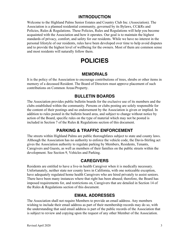#### **INTRODUCTION**

Welcome to the Highland Palms Senior Estates and Country Club Inc. (Association). The Association is a planned residential community, governed by its Bylaws, CC&Rs and Policies, Rules & Regulations. These Policies, Rules and Regulations will help you become acquainted with the Association and how it operates. Our goal is to maintain the highest standards of privacy, comfort, and safety for our residents. While we have no interest in the personal lifestyle of our residents, rules have been developed over time to help avoid disputes and to provide the highest level of wellbeing for the owners. Most of them are common sense and most residents will naturally follow them.

# **POLICIES**

#### **MEMORIALS**

It is the policy of the Association to encourage contributions of trees, shrubs or other items in memory of a deceased Resident. The Board of Directors must approve placement of such contributions on Common Areas/Property.

#### **BULLETIN BOARDS**

The Association provides public bulletin boards for the exclusive use of its members and the clubs established within the community. Persons or clubs posting are solely responsible for the content of their postings and no endorsement by the Association is given or implied. In addition to rules posted in the bulletin board area, and subject to change without notice by action of the Board, specific rules on the type of material which may not be posted is included in Section 7 of the Rules & Regulations section of this document.

#### **PARKING & TRAFFIC ENFORCEMENT**

The streets within Highland Palms are public thoroughfares subject to state and county laws. Although the Association has no authority to enforce the vehicle code, the Davis-Stirling act gives the Association authority to regulate parking by Members, Residents, Tenants, Caregivers and Guests, as well as members of their families on the public streets within the development. See Section 9, Vehicles and Parking.

#### **CAREGIVERS**

Residents are entitled to have a live-in health Caregiver when it is medically necessary. Unfortunately, neither state nor county laws in California, with one noticeable exception, have adequately regulated home health Caregivers who are hired privately to assist seniors. There have been many instances where that right has been abused; therefore, the Board has imposed requirements for, and restrictions on, Caregivers that are detailed in Section 14 of the Rules & Regulations section of this document.

#### **EMAIL ADDRESSES**

The Association shall not require Members to provide an email address. Any members wishing to include their email address as part of their membership records may do so, with the understanding that said email address is part of the public records of the Association that is subject to review and copying upon the request of any other Member of the Association.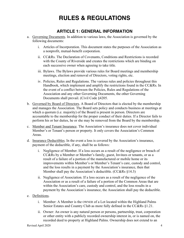# **RULES & REGULATIONS**

#### **ARTICLE 1: GENERAL INFORMATION**

- a. Governing Documents. In addition to various laws, the Association is governed by the following documents:
	- i. Articles of Incorporation. This document states the purposes of the Association as a nonprofit, mutual-benefit corporation.
	- ii. CC&Rs. The Declaration of Covenants, Conditions and Restrictions is recorded with the County of Riverside and creates the restrictions which are binding on each successive owner when agreeing to take title.
	- iii. Bylaws. The Bylaws provide various rules for Board meetings and membership meetings, election and removal of Directors, voting rights, etc.
	- iv. Policies, Rules and Regulations. The various rules and policies throughout this Handbook, which implement and amplify the restrictions found in the CC&Rs. In the event of a conflict between the Policies, Rules and Regulations of the Association and any other Governing Documents, the other Governing Documents shall prevail. (Civil Code §4205.
- b. Governed by Board of Directors. A Board of Directors that is elected by the membership and manages the Association. The Board sets policy and conducts business at meetings at which a quorum (i.e. majority) of the Board is present in person. Directors are accountable to the membership for the proper conduct of their duties. If a Director fails to perform his or her duties, he or she may be removed from the Board by the membership.
- c. Member and Tenant Insurance. The Association's insurance does not cover individual Member's or Tenant's person or property. It only covers the Association's Common Areas.
- d. Insurance Deductibles. In the event a loss is covered by the Association's insurance, payment of the deductible, if any, shall be as follows:
	- i. Negligence of Member. If a loss occurs as a result of the negligence or breach of CC&Rs by a Member or Member's family, guest, Invitees or tenants, or as a result of a failure of a portion of the manufactured or mobile home or its improvements within Member's or Member's Tenant's care, custody and control, and the loss results in a payment by the Association's insurance, then that Member shall pay the Association's deductible. (CC&Rs §14.3)
	- ii. Negligence of Association. If a loss occurs as a result of the negligence of the Association or as a result of a failure of a portion of the Common Areas that are within the Association's care, custody and control, and the loss results in a payment by the Association's insurance, the Association shall pay the deductible.
- e. Definitions.
	- i. Member: A Member is the OWNER of a Lot located within the Highland Palms Senior Estates and Country Club as more fully defined in the CC&Rs §1.21.
	- ii. Owner: An owner is any natural person or persons, partnership, trust, corporation or other entity with a publicly recorded ownership interest in, or is named on, the recorded deed to property at Highland Palms. Ownership does not extend to an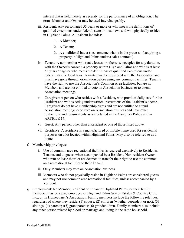interest that is held merely as security for the performance of an obligation. The terms Member and Owner may be used interchangeably.

- iii. Resident: Any person aged 55 years or more or who meets the definitions of qualified exceptions under federal, state or local laws and who physically resides in Highland Palms. A Resident includes:
	- 1. A Member;
	- 2. A Tenant;
	- 3. A conditional buyer (i.e. someone who is in the process of acquiring a property in Highland Palms under a sales contract.)
- iv. Tenant: A nonmember who rents, leases or otherwise occupies for any duration, with the Owner's consent, a property within Highland Palms and who is at least 55 years of age or who meets the definitions of qualified exceptions under federal, state or local laws. Tenants must be registered with the Association and must have gone through orientation before using any common facilities**.** Tenants have the right to use the Association's Common Area facilities, but are not Members and are not entitled to vote on Association business or to attend Association meetings.
- v. Caregiver: A person who resides with a Resident**,** who provides daily care for the Resident and who is acting under written instructions of the Resident's doctor. Caregivers do not have membership rights and are not entitled to attend Association meetings or to vote on Association business and have other restrictions and requirements as are detailed in the Caregiver Policy and in ARTICLE 14.
- vi. Guest: Any person other than a Resident or one of those listed above.
- vii. Residence: A residence is a manufactured or mobile home used for residential purposes on a lot located within Highland Palms. May also be referred to as a home.
- f. Membership privileges:
	- i. Use of common area recreational facilities is reserved exclusively to Residents, Tenants and to guests when accompanied by a Resident. Non-resident Owners who rent or lease their lot are deemed to transfer their right to use the common area recreational facilities to their Tenant.
	- ii. Only Members may vote on Association business.
	- iii. Members who do not physically reside in Highland Palms are considered guests and may not use common area recreational facilities, unless accompanied by a Resident.
- g. Employment: No Member, Resident or Tenant of Highland Palms, or their family members, may be a paid employee of Highland Palms Senior Estates & Country Club, Inc., or its Homeowner's Association. Family members include the following relatives, regardless of where they reside: (1) spouse; (2) children (whether dependent or not); (3) siblings; (4) parents; ((5) grandparents; (6) grandchildren. Family members also include any other person related by blood or marriage and living in the same household.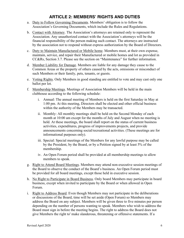# **ARTICLE 2: MEMBERS' RIGHTS AND DUTIES**

- a. Duty to Follow Governing Documents. Members' obligation is to follow the Association's Governing Documents, which include the Rules and Regulations.
- b. Contact with Attorney. The Association's attorneys are retained only to represent the Association. Any unauthorized contact with the Association's attorneys will be the financial responsibility of the person making such contact. The attorneys are instructed by the association not to respond without express authorization by the Board of Directors.
- c. Duty to Maintain Manufactured or Mobile home. Members must, at their own expense, maintain, service, and repair their Manufactured or mobile homes and lot as provided in CC&Rs, Section 3.7. Please see the section on "Maintenance" for further information.
- d. Member Liability for Damage. Members are liable for any damage they cause to the Common Areas or the property of others caused by the acts, omissions or misconduct of such Members or their family, pets, tenants, or guests.
- e. Voting Rights. Only Members in good standing are entitled to vote and may cast only one ballot per lot.
- f. Membership Meetings. Meetings of Association Members will be held in the main clubhouse according to the following schedule:
	- i. Annual: The annual meeting of Members is held on the first Saturday in May at 1:00 pm. At this meeting, Directors shall be elected and other official business within the authority of the Members may be transacted.
	- ii. Monthly: All monthly meetings shall be held on the Second Monday of each month at 10:00 am except for the months of July and August when no meeting is held. At these meetings, the board shall report on the status of current business activities, expenditures, progress of improvements projects, and provide announcements concerning social/recreational activities. (These meetings are for informational purposes only).
	- iii. Special: Special meetings of the Members for any lawful purpose may be called by the President, by the Board, or by a Petition signed by at least 5% of the membership.
	- iv. An Open Forum period shall be provided at all membership meetings to allow members to speak.
- g. Right to Attend Board Meetings. Members may attend non-executive session meetings of the Board to observe the conduct of the Board's business. An Open Forum period must be provided for all board meetings, except those held in executive session.
- h. No Right to Participate in Board Business. Only board Members may participate in board business, except when invited to participate by the Board or when allowed in Open Forum.
- i. Right to Address Board. Even though Members may not participate in the deliberations or discussions of the Board, time will be set aside (Open Forum) so Members may address the Board on any subject. Members will be given three to five minutes per person depending on the number of persons wanting to speak. Members who wish to address the Board must sign in before the meeting begins. The right to address the Board does not give Members the right to' make slanderous, threatening or offensive statements. If a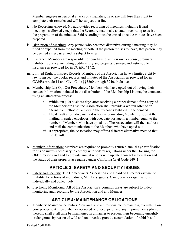Member engages in personal attacks or vulgarities, he or she will lose their right to complete their remarks and will be subject to a fine.

- j. No Recording Allowed. No audio/video recording of meetings, including Board meetings, is allowed except that the Secretary may make an audio recording to assist in the preparation of the minutes. Said recording must be erased once the minutes have been prepared.
- k. Disruption of Meetings. Any person who becomes disruptive during a meeting may be fined or expelled from the meeting or both. If the person refuses to leave, that person may be deemed a trespasser and is subject to arrest.
- l. Insurance. Members are responsible for purchasing, at their own expense, premises liability insurance, including bodily injury and property damage, and automobile insurance as provided for in CC&Rs §14.2.
- m. Limited Right to Inspect Records. Members of the Association have a limited right by law to inspect the books, records and minutes of the Association as provided for in CC&Rs Article 11 and Civil Code §§5200 through 5240, inclusive.
- n. Membership List Opt-Out Procedures. Members who have opted-out of having their contact information included in the distribution of the Membership List may be contacted using an alternative process:
	- i. Within ten (10) business days after receiving a proper demand for a copy of the Membership List, the Association shall provide a written offer of an alternative method of achieving the purpose identified in the demand.
	- ii. The default alternative method is for the demanding Member to submit the mailing in sealed envelopes with adequate postage in a number equal to the number of Members who have opted out. The Association will then address and mail the communication to the Members who have opted out.
	- iii. If appropriate, the Association may offer a different alternative method that the default.
- o. Member Information: Members are required to promptly return biannual age verification forms or surveys necessary to comply with federal regulations under the Housing for Older Persons Act and to provide annual reports with updated contact information and the status of their property as required under California Civil Code §4041.

# **ARTICLE 3: SAFETY AND SECURITY ISSUES**

- a. Safety and Security. The Homeowners Association and Board of Directors assume no Liability for actions of individuals, Members, guests, Caregivers, or organizations, individually and collectively.
- b. Electronic Monitoring. All of the Association's common areas are subject to video monitoring and recording by the Association and any Member.

### **ARTICLE 4: MAINTENANCE OBLIGATIONS**

a. Members' Maintenance Duties. You own, and are responsible to maintain, everything on your property. All lots, whether occupied or unoccupied, and any improvements placed thereon, shall at all time be maintained in a manner to prevent their becoming unsightly or dangerous by reason of wild and unattractive growth, accumulation of rubbish and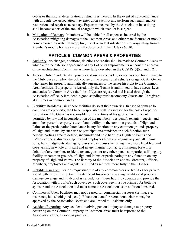debris or the natural deterioration of structures thereon. In the event of non-compliance with this rule the Association may enter upon such lot and perform such maintenance, restoration and repair as necessary. Expenses incurred by the Association in so doing shall become a part of the annual charge to which such lot is subject.

b. Mitigation of Damage. Members will be liable for all expenses incurred by the Association mitigating damages to the Common Areas and other manufactured or mobile homes caused by water damage, fire, insect or rodent infestation, etc. originating from a Member's mobile home as more fully described in the CC&Rs  $\S 3.10$ .

### **ARTICLE 5: COMMON AREAS & PROPERTIES**

- a. Authority. No changes, additions, deletions or repairs shall be made to Common Areas or which alter the exterior appearance of any Lot or its Improvements without the approval of the Architectural Committee as more fully described in the CC&Rs §§5.3 and 5.21.
- b. Access. Only Residents shall possess and use an access key or access code for entrance to the Clubhouse complex, the golf course or the recreational vehicle storage lot. An Owner who leases his property automatically surrenders to the lessee his right to the Common Area facilities. If a property is leased, only the Tenant is authorized to have access keys and codes for Common Area facilities. Keys are registered and issued through the Association office. A Resident in good standing must accompany Guests and Caregivers at all times in common areas.
- c. Liability: Residents using these facilities do so at their own risk. In case of damage to common area property, the Owner responsible will be assessed for the cost of repair or restoration. The Owner is responsible for the actions of his guests. To the extent permitted by law and in consideration of the members', residents', tenants', guests' and any other person's or party's use of any facility on the common grounds of Highland Palms or the participation/attendance in any function on any common grounds property of Highland Palms, by such use or participation/attendance in such function such persons/parties agree to defend, indemnify and hold harmless Highland Palms and its/their officers, directors, agents and employees from and against any and all claims, suits, liens, judgments, damages, losses and expenses including reasonable legal fees and costs arising in whole or in part and in any manner from acts, omissions, breach or default of any member, resident, tenant, guest or any other persons or parties utilizing any facility or common grounds of Highland Palms or participating in any function on any property of Highland Palms. The liability of the Association and its Directors, Officers, Members, employees and agents is limited as set forth more fully in the CC&Rs.
- d. Liability insurance. Persons requesting use of any common areas or facilities for private social gatherings must obtain Private Event Insurance providing liability and property damage coverage and, if alcohol is served, host liquor liability coverage and provide the Association with proof of such coverage. Such coverage must be primary for both the sponsor and the Association and must name the Association as an additional insured.
- e. Commercial Uses. Facilities may not be used for commercial purposes (selling, e.g. insurance, household goods, etc.). Educational and/or recreational classes may be approved by the Association Board and are limited to Residents only.
- f. Accident Reporting. Any accident involving personal injury or damage to property occurring on the Common Property or Common Areas must be reported to the Association office as soon as practical.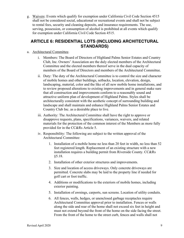g. Waivers: Events which qualify for exemption under California Civil Code Section 4515 shall not be considered social, educational or recreational events and shall not be subject to rental fees, security and cleaning deposits, and insurance requirements. The use, serving, possession, or consumption of alcohol is prohibited at all events which qualify for exemption under California Civil Code Section 4515.

### **ARTICLE 6: RESIDENTIAL LOTS (INCLUDING ARCHITECTURAL STANDARDS)**

- a. Architectural Committee.
	- i. Members: The Board of Directors of Highland Palms Senior Estates and Country Club, Inc. Owners' Association are the duly elected members of the Architectural Committee and the elected members thereof serve in the dual capacity of members of the Board of Directors and members of the Architectural Committee.
	- ii. Duty: The duty of the Architectural Committee is to control the size and character of mobile homes and other buildings, setbacks, location, elevation, design, landscaping, material, color and the like of all new mobile home installations, and to review proposed alterations to existing improvements and in general make sure that all construction and improvements conform to a reasonably sound and attractive uniform plan of development of Highland Palms. Styles shall be architecturally consistent with the aesthetic concept of surrounding building and landscape and shall maintain and enhance Highland Palms Senior Estates and Country Club Inc. as a desirable place to live.
	- iii. Authority: The Architectural Committee shall have the right to approve or disapprove requests, plans, specifications, variances, waivers, and related materials for the protection of the common interest of the Members as more fully provided for in the CC&Rs Article 5.
	- iv. Responsibility: The following are subject to the written approval of the Architectural Committee:
		- 1. Installation of a mobile home no less than 20 feet in width, no less than 52 feet registered length. Replacement of an existing structure with a new installation requires a building permit from Riverside County. CC&Rs §5.18.
		- 2. Installation of other exterior structures and improvements.
		- 3. Size and location of access driveways. Only concrete driveways are permitted. Concrete slabs may be laid to the property line if needed for golf cart or foot traffic.
		- 4. Additions or modifications to the exteriors of mobile homes, including exterior painting.
		- 5. Installation of awnings, carports, sun screens. Location of utility conduits.
		- 6. All fences, walls, hedges, or unenclosed garbage receptacles require Architectural Committee approval prior to installation. Fences or walls along the side and rear of the home shall not exceed six feet in height and must not extend beyond the front of the home on the side facing the street. From the front of the home to the street curb, fences and walls shall not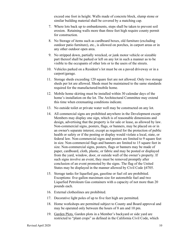exceed one foot in height. Walls made of concrete block, slump stone or similar building material shall be covered by a matching cap.

- 7. Where lots back up to embankments, steps shall be taken to prevent soil erosion. Retaining walls more than three feet high require county permit for construction.
- 8. No Storage of items such as cardboard boxes, old furniture (excluding outdoor patio furniture), etc., is allowed on porches, in carport areas or in any other outdoor open area.
- 9. No stripped down, partially wrecked, or junk motor vehicle or sizeable part thereof shall be parked or left on any lot in such a manner as to be visible to the occupants of other lots or to the users of the streets.
- 10. Vehicles parked on a Resident's lot must be on a paved driveway or in a carport/garage.
- 11. Storage sheds exceeding 120 square feet are not allowed. Only two storage sheds per lot are allowed. Sheds must be maintained to the same standards required for the manufactured/mobile home.
- 12. Mobile home skirting must be installed within 30 calendar days of the home's installation on the lot. The Architectural Committee may extend this time when extenuating conditions indicate.
- 13. No outside toilet or private water well may be constructed on any lot.
- 14. All commercial signs are prohibited anywhere in the Development except Members may display one sign, which is of reasonable dimensions and design, advertising that the property is for sale or lease, as allowed by law. Non-commercial signs, posters, flags, or banners, may be placed on or in an owner's separate interest, except as required for the protection of public health or safety or if the posting or display would violate a local, state, or federal law. Non-commercial signs and posters are limited to 9 square feet in size. Non-commercial flags and banners are limited to 15 square feet in size. Non-commercial signs, posters, flags or banners may be made of paper, cardboard, cloth, plastic, or fabric and may be posted or displayed from the yard, window, door, or outside wall of the owner's property. If such signs involve an event, they must be removed promptly after conclusion of an event promoted by the signs. The flag of the United States may be displayed in the manner allowed by Civil Code §4705.
- 15. Storage tanks for liquefied gas, gasoline or fuel oil are prohibited. Exceptions: five-gallon maximum size for automobile fuel and two Liquefied Petroleum Gas containers with a capacity of not more than 20 pounds each.
- 16. External clotheslines are prohibited.
- 17. Decorative light poles of up to five feet high are permitted.
- 18. Home workshops are permitted subject to County and Board approval and may be operated only between the hours of 8 am and 10 pm.
- 19. Garden Plots. Garden plots in a Member's backyard or side yard are restricted to "plant crops" as defined in the California Civil Code, which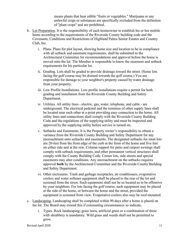means plants that bear edible "fruits or vegetables." Marijuana or any unlawful crops or substances are specifically excluded from the definition of "plant crops" and are prohibited.

- b. Lot Preparation. It is the responsibility of each homeowner to establish his or her mobile home according to the requirements of the Riverside County building code and the Covenants, Conditions and Restrictions of Highland Palms Senior Estates and Country Club, Inc.
	- i. Plans. Plans for plot layout, showing home size and location to be in compliance with all setback and easement requirements, shall be submitted to the Architectural Committee for recommendations and approval before the home is moved onto the lot. The Member is responsible to know the easement and setback requirements for his particular lot.
	- ii. Grading. Lots shall be graded to provide drainage toward the street. (Some lots facing the golf course may be drained towards the golf course.) You are responsible for damage to your neighbor's property caused by water drainage from your property.
	- iii. Low Profile Installations. Low profile installations require a permit for both grading and installation from the Riverside County Building and Safety Department.
	- iv. Utilities. All utility lines electric, gas, water, telephone, and cable are underground. The electrical pedestal and the terminus of other supply lines shall be located near each other at a point providing easy connection to the home. All utility lines and connections shall comply with the Riverside County Building Code and the regulations of the supplying utility and must be inspected and approved by the supplying utility before service is turned on.
	- v. Setbacks and Easements. It is the Property owner's responsibility to obtain a variance from the Riverside County Building and Safety Department for any encroachment onto setbacks and easements. The designated setbacks for most lots are 20-feet from the front edge of the curb at the front of the home and five feet on either side and at the rear. Column support for patio and carport awnings shall comply with setback requirements, and other permanent vertical structures shall comply with the County Building Code. Corner lots, side streets and special easements may alter conditions. Any encroachment on the setbacks requires approval **both** by the Architectural Committee and the Riverside County Building and Safety Department.
	- vi. Other enclosures. Trash and garbage receptacles, air conditioners, evaporative coolers and water softener equipment shall be placed to the rear of the lot and screened from the street. Such equipment shall not be so located as to be offensive by your neighbors. For lots facing the golf course, such equipment may be placed at the side of the home, or between the home and the street, provided the equipment is screened from view. Evaporative coolers also may be roof-mounted.
- c. Landscaping. Landscaping shall be completed within 90 days after a home is placed on the lot. The Board may extend this if extenuating circumstances so indicate.
	- i. Types. Rock landscaping; grass lawn, artificial grass or a combination of these with shrubbery is mandatory. Wild grass and weeds shall not be permitted to grow.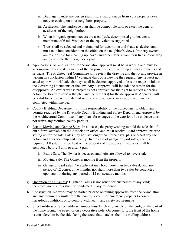- ii. Drainage. Landscape design shall insure that drainage from your property does not encroach upon your neighbors' property.
- iii. Aesthetics. The landscape plan shall be compatible with or excel the general aesthetics of the neighborhood.
- iv. When inorganic ground covers are used (rock, decomposed granite, etc) a membrane of 6 mil Visqueen or the equivalent is suggested.
- v. Trees shall be selected and maintained for decoration and shade as desired and must take into consideration the effect on the neighbor's views. Property owners are responsible for cleaning up leaves and other debris from their trees before they are blown into their neighbor's yard.
- d. Applications. All applications for Association approval must be in writing and must be accompanied by a scale drawing of the proposed project, including all measurements and setbacks. The Architectural Committee will review the drawing and the lot and provide in writing its conclusion within 14 calendar days of reviewing the request. Any request not acted upon within 45 calendar days shall be deemed approved unless the request violates the Governing Documents or the law. Any disapproval will include the reason for the disapproval. An owner whose project is not approved has the right to request a hearing before the Board to review the plan and the reason(s) for the disapproval. Approval will be valid for one year from date of issue and any action or work approved must be completed within one year.
- e. County Building Department. It is the responsibility of the homeowner to obtain any permits required by the Riverside County Building and Safety Department. Approval by the Architectural Committee of any plans for changes to the exterior of a residence does not waive any required county permits.
- f. Estate, Moving and Garage Sales. In all cases, the party wishing to hold the sale shall fill out a form, available in the Association office, and **must** receive Board approval prior to setting up for the sale. Sales may not last longer than three days, plus one-half day each before and after for setup and cleanup. In the case of garage or yard sales, a fee is required. All sales must be held on the property of the applicant. No sales shall be conducted before 8 a.m. or after 8 p.m.
	- i. Estate Sale. The Owner is deceased and heirs are allowed to have a sale.
	- ii. Moving Sale. The Owner is moving from the property.
	- iii. Garage or yard sales. No applicant may hold more than two sales during any period of 12 consecutive months, nor shall more than two sales be conducted upon any lot during any period of 12 consecutive months.
- g. Operation of a Business: Highland Palms is not zoned for businesses of any kind; therefore, no business shall be conducted in any residence.
- h. Construction. No work may be started prior to obtaining approvals from the Association and any required permits from the county, except for emergency repairs to correct hazardous conditions or to comply with health and safety requirements.
- i. Street Addresses. Street address number must be clearly visible on the curb, on the part of the home facing the street, or on a decorative pole. On corner lots, the front of the home is considered to be the side facing the street that matches the lot's mailing address.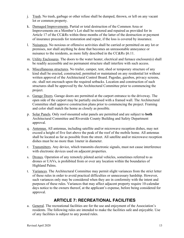- j. Trash. No trash, garbage or other refuse shall be dumped, thrown, or left on any vacant lot or common property.
- k. Damaged Improvements. Partial or total destruction of the Common Area or Improvements on a Member's Lot shall be restored and repaired as provided for in Article 17 of the CC&Rs within three months of the latter of the destruction or payment of insurance proceeds for restoration and repair, if the loss is covered by insurance.
- l. Nuisances. No noxious or offensive activities shall be carried or permitted on any lot or premises, nor shall anything be done that becomes an unreasonable annoyance or nuisance to the residents, as more fully described in the CC&Rs §6.11.
- m. Utility Enclosures. The doors to the water heater, electrical and furnace enclosure(s) shall be readily accessible and no permanent structure shall interfere with such access.
- n. Miscellaneous structures. No trailer, camper, tent, shed or temporary structure of any kind shall be erected, constructed, permitted or maintained on any residential lot without written approval of the Architectural Control Board. Pagodas, gazebos, privacy screens, etc. shall not encroach upon the required setbacks. Location and construction of such structures shall be approved by the Architectural Committee prior to commencing the project.
- o. Garage Doors. Garage doors are permitted at the carport entrance to the driveway. The open side of the carport may be partially enclosed with a framed wall. The Architectural Committee shall approve construction plans prior to commencing the project. Framing and color shall match the home as closely as possible.
- p. Solar Panels. Only roof-mounted solar panels are permitted and are subject to **both** Architectural Committee and Riverside County Building and Safety Department approval.
- q. Antennas. All antennas, including satellite and/or microwave reception dishes, may not exceed a height of five feet above the peak of the roof of the mobile home. All antennas shall be located as far as possible from the street. All satellite and/or microwave reception dishes must be no more than 1meter in diameter.
- r. Transmitters. Any device, which transmits electronic signals, must not cause interference with electronic devices used on adjacent properties.
- s. Drones. Operation of any remotely piloted aerial vehicles, sometimes referred to as drones or UAVs, is prohibited from or over any location within the boundaries of Highland Palms.
- t. Variances. The Architectural Committee may permit slight variances from the strict letter of these rules in order to avoid practical difficulties or unnecessary hardship. However, such variances only may be considered when they are in conformity with the intent and purposes of these rules. Variances that may affect adjacent property require 10-calendar days notice to the owners thereof, at the applicant's expense, before being considered for approval.

# **ARTICLE 7: RECREATIONAL FACILITIES**

a. General. The recreational facilities are for the use and enjoyment of the Association's residents. The following rules are intended to make the facilities safe and enjoyable. Use of any facilities is subject to any posted rules.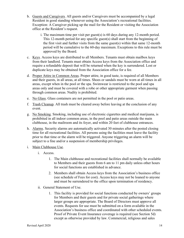- b. Guests and Caregivers. All guests and/or Caregivers must be accompanied by a legal Resident in good standing whenever using the Association's recreational facilities. Exception: A Caregiver picking up the mail for the Resident or visiting the Association office at the Resident's request.
	- i. The maximum time per visit per guest(s) is 60 days during any 12-month period. This 12-month period for any specific guest(s) shall start from the beginning of the first visit and further visits from the same guest(s) within that same 12-month period will be cumulative to the 60-day maximum. Exceptions to this rule must be approved by the Board.
- c. Keys. Access keys are distributed to all Members. Tenants must obtain mailbox keys from their landlord. Tenants must obtain Access keys from the Association office and require a refundable deposit that will be returned when the key is surrendered. Lost or duplicate keys may be obtained from the Association office for a fee.
- d. Proper Attire in Common Areas. Proper attire, in good taste, is required of all Members and their guests, in all areas, at all times. Shoes or sandals must be worn at all times in all areas, except when in the pool or the spa. Swimwear is restricted to the pool and spa areas only and must be covered with a robe or other appropriate garment when passing through common areas. Nudity is prohibited.
- e. No Glass. Glass containers are not permitted in the pool or patio areas.
- f. Trash Cleanup. All trash must be cleared away before leaving at the conclusion of any event.
- g. No Smoking. Smoking, including use of electronic cigarettes and medical marijuana, is prohibited in all indoor common areas, in the pool and patio areas outside the main clubhouse, in the mailroom and its foyer, and within 20 feet of clubhouse entrances.
- h. Alarms. Security alarms are automatically activated 30 minutes after the posted closing time for all recreational facilities. All persons using the facilities must leave the facility prior to that time or the alarm will be triggered. Anyone triggering an alarm will be subject to a fine and/or a suspension of membership privileges.
- i. Main Clubhouse Use.
	- i. Access.
		- 1. The Main clubhouse and recreational facilities shall normally be available to Members and their guests from 6 am to 11 pm daily unless other hours for social functions are established in advance.
		- 2. Members shall obtain Access keys from the Association's business office (see schedule of Fees for cost). Access keys may not be loaned to anyone and must be surrendered to the office upon termination of residency.
	- ii. General Statement of Use.
		- 1. This facility is provided for social functions conducted by owners' groups for Members and their guests and for private social gatherings where larger groups are appropriate. The Board of Directors must approve all events. Requests for use must be submitted on a form available in the Association's business office and coordinated with other scheduled events. Proof of Private Event Insurance coverage is required (see Section 5d) except as otherwise provided by law. Commercial, religious and sales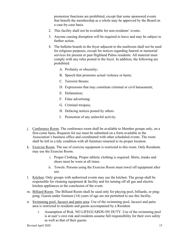promotion functions are prohibited, except that some sponsored events that benefit the membership as a whole may be approved by the Board on a case-by-case basis.

- 2. This facility shall not be available for non-residents' events.
- 3. Anyone causing disruption will be required to leave and may be subject to further action.
- 4. The bulletin boards in the foyer adjacent to the mailroom shall not be used for religious purposes, except for notices regarding funeral or memorial services for present or past Highland Palms residents. All material must comply with any rules posted in the foyer. In addition, the following are prohibited:
	- A. Profanity or obscenity;
	- B. Speech that promotes actual violence or harm;
	- C. Terrorist threats;
	- D. Expressions that may constitute criminal or civil harassment;
	- E. Defamation;
	- F. False advertising;
	- G. Criminal trespass;
	- H. Defacing notices posted by others.
	- I. Promotion of any unlawful activity.
- j. Conference Room. The conference room shall be available to Member groups only, on a first-come basis, Requests for use must be submitted on a form available in the Association's business office and coordinated with other scheduled events. The room shall be left in a tidy condition with all furniture returned to its proper location.
- k. Exercise Room. The use of exercise equipment is restricted to this room. Only Residents may use the Exercise Room.
	- i. Proper Clothing. Proper athletic clothing is required. Shirts, trunks and shoes must be worn at all times.
	- ii. Towels. Persons using the Exercise Room must towel off equipment after use.
- l. Kitchen. Only groups with authorized events may use the kitchen. The group shall be responsible for cleaning equipment & facility and for turning off all gas and electric kitchen appliances at the conclusion of the event.
- m. Billiard Room. The Billiard Room shall be used only for playing pool, billiards, or pingpong. Guests under fourteen (14) years of age are not permitted to use this facility.
- n. Swimming pool, Jacuzzi and patio area: Use of the swimming pool, Jacuzzi and patio area is restricted to residents and guests accompanied by a Resident.
	- i. Assumption of Risk. NO LIFEGUARDS ON DUTY. Use of the swimming pool is at user's own risk and residents assume full responsibility for their own safety as well as that of their guests.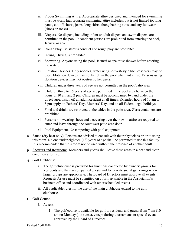- ii. Proper Swimming Attire. Appropriate attire designed and intended for swimming must be worn. Inappropriate swimming attire includes, but is not limited to, long pants, cut-off shorts, jeans, long shirts, thong bathing suits, and any footwear (shoes or socks).
- iii. Diapers. No diapers, including infant or adult diapers and swim diapers, are permitted in the pool. Incontinent persons are prohibited from entering the pool, Jacuzzi or spa.
- iv. Rough Play. Boisterous conduct and rough play are prohibited.
- v. Diving. Diving is prohibited.
- vi. Showering. Anyone using the pool, Jacuzzi or spa must shower before entering the water.
- vii. Flotation Devices. Only noodles, water wings or vest-style life preservers may be used. Flotation devices may not be left in the pool when not in use. Persons using flotation devices may not obstruct other users.
- viii. Children under three years of age are not permitted in the pool/patio area.
- ix. Children three to 16 years of age are permitted in the pool area between the hours of 10 am and 2 pm. Children must be accompanied by, and under the direct supervision of, an adult Resident at all times. Extended hours of 10 am to 5 pm apply on Fathers' Day, Mothers' Day, and on all Federal legal holidays.
- x. Food and drinks are restricted to the tables in the patio area. Glass containers are prohibited.
- xi. Persons not wearing shoes and a covering over their swim attire are required to enter and leave through the southwest patio area door.
- xii. Pool Equipment. No tampering with pool equipment.
- o. Sauna (dry heat only). Persons are advised to consult with their physicians prior to using this room. No one under eighteen (18) years of age shall be permitted to use this facility. It is recommended that this room not be used without the presence of another adult.
- p. Showers and Restrooms. Members and guests shall leave these areas in a neat and clean condition after use.
- q. Golf Clubhouse.
	- i. The golf clubhouse is provided for functions conducted by owners' groups for Residents and their accompanied guests and for private social gatherings where larger groups are appropriate. The Board of Directors must approve all events. Requests for use must be submitted on a form available in the Association's business office and coordinated with other scheduled events.
	- ii. All applicable rules for the use of the main clubhouse extend to the golf clubhouse.
- r. Golf Course.
	- i. Access.
		- 1. The golf course is available for golf to residents and guests from 7 am (10 am on Mondays) to sunset, except during tournaments or special events approved by the Board of Directors.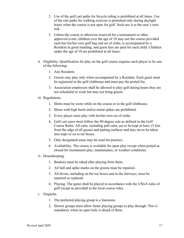- 2. Use of the golf cart paths for bicycle riding is prohibited at all times. Use of the cart paths for walking exercise is permitted only during daylight hours when the course is not open for golf. Such use is at the user's own risk.
- 3. Unless the course is otherwise reserved for a tournament or other approved event, children over the age of 10 may use the course provided each has his/her own golf bag and set of clubs, is accompanied by a Resident in good standing, and guest fees are paid for each child. Children under the age of 10 are prohibited at all times.
- ii. Eligibility. Qualification for play on the golf course requires each player to be one of the following:
	- 1. Any Resident;
	- 2. Guests may play only when accompanied by a Resident. Each guest must be registered in the golf clubhouse and must pay the posted fee.
	- 3. Association employees shall be allowed to play golf during hours they are not scheduled to work but may not bring guests.
- iii. Regulations.
	- 1. Shirts must be worn while on the course or in the golf clubhouse.
	- 2. Shoes with high heels and/or metal spikes are prohibited.
	- 3. Every player must play with his/her own set of clubs.
	- 4. Golf cart users must follow the 90-degree rule as defined in the Golf Course Rules. All carts, including pull carts, are to be kept at least 15 feet from the edge of all greens and putting surfaces and may never be taken into traps or on to tee boxes.
	- 5. Only designated areas may be used for practice.
	- 6. Availability. The course is available for open play except when posted as closed for tournament play, maintenance, or weather conditions.
- iv. Housekeeping.
	- 1. Bunkers must be raked after playing from them.
	- 2. All ball and spike marks on the greens must be repaired.
	- 3. All divots, including on the tee boxes and in the fairways, must be repaired or replaced.
	- 4. Playing. The game shall be played in accordance with the USGA rules of golf except as provided in the local course rules.
- v. Etiquette.
	- 1. The preferred playing group is a foursome.
	- 2. Slower groups must allow faster playing groups to play through. This is mandatory when an open hole is ahead of them.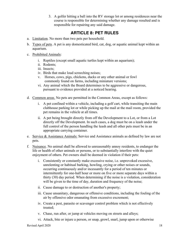3. A golfer hitting a ball into the RV storage lot or among residences near the course is responsible for determining whether any damage resulted and is responsible for repairing any said damage.

### **ARTICLE 8: PET RULES**

- a. Limitation. No more than two pets per household.
- b. Types of pets. A pet is any domesticated bird, cat, dog, or aquatic animal kept within an aquarium.
- c. Prohibited Animals:
	- i. Reptiles (except small aquatic turtles kept within an aquarium);
	- ii. Rodents;
	- iii. Insects;
	- iv. Birds that make loud screeching noises;
	- v. Horses, cows, pigs, chickens, ducks or any other animal or fowl commonly found on farms, including miniature versions;
	- vi. Any animal which the Board determines to be aggressive or dangerous, pursuant to evidence provided at a noticed hearing.
- d. Common areas. No pets are permitted in the Common Areas, except as follows:
	- i. A pet confined within a vehicle, including a golf cart, while transiting the main clubhouse parking lot or while picking up the mail at the mail room, provided the pet remains in the vehicle at all times.
	- ii. A pet being brought directly from off the Development to a Lot, or from a Lot directly off the Development. In such cases, a dog must be on a leash under the full control of the person handling the leash and all other pets must be in an appropriate carrying container.
- e. Service & Assistance Animals: Service and Assistance animals as defined by law are not pets.
- f. Nuisance. No animal shall be allowed to unreasonably annoy residents, to endanger the life or health of other animals or persons, or to substantially interfere with the quiet enjoyment of others. Pet owners shall be deemed in violation if their pets:
	- i. Consistently or constantly make excessive noise, i.e. unprovoked excessive, unrelenting or habitual barking, howling, crying or other noises or sounds, occurring continuously and/or incessantly for a period of ten minutes or intermittently for one-half hour or more on five or more separate days within a thirty (30) day period. When determining if the noise is a violation, consideration will be given to the time of day, duration and frequency of the noise;
	- ii. Cause damage to or destruction of another's property;
	- iii. Cause unsanitary, dangerous or offensive conditions, including the fouling of the air by offensive odor emanating from excessive excrement;
	- iv. Create a pest, parasite or scavenger control problem which is not effectively treated;
	- v. Chase, run after, or jump at vehicles moving on streets and alleys;
	- vi. Attack, bite or injure a person, or snap, growl, snarl, jump upon or otherwise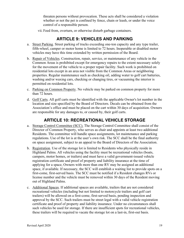threaten persons without provocation. These acts shall be considered a violation whether or not the pet is confined by fence, chain or leash, or under the voice control of a responsible person.

vii. Feed from, overturn, or otherwise disturb garbage containers.

### **ARTICLE 9: VEHICLES AND PARKING**

- a. Street Parking. Street parking of trucks exceeding one-ton capacity and any type trailer, fifth-wheel, camper or motor home is limited to 72 hours. Inoperable or disabled motor vehicles may have this time extended by written permission of the Board.
- b. Repair of Vehicles. Construction, repair, service, or maintenance of any vehicle in the Common Areas is prohibited except for emergency repairs to the extent necessary solely for the movement of the vehicle to a proper repair facility. Such work is prohibited on residential lots except in an area not visible from the Common Areas or neighboring properties. Regular maintenance such as checking oil, adding water to golf cart batteries, washing and/or waxing cars, checking or changing tires, or vacuuming the interior is permitted on residential lots.
- c. Parking on Common Property. No vehicle may be parked on common property for more than 72 hours.
- d. Golf Carts. All golf carts must be identified with the applicable Owner's lot number in the location and size specified by the Board of Directors. Decals can be obtained from the Association's office and must be placed on the cart within 30 days of acquisition. Owners are responsible for any damages to, or caused by, their golf carts.

#### **ARTICLE 10: RECREATIONAL VEHICLE STORAGE**

- a. Storage Control Committee (SCC). The Storage Control Committee shall consist of the Director of Common Property, who serves as chair and appoints at least two additional Residents. The committee will handle space assignments, lot maintenance and parking regulations. Use of the lot is at the user's own risk. The SCC shall be the final authority on space assignment, subject to an appeal to the Board of Directors of the Association.
- b. Registration. Use of the storage lot is limited to Residents who physically reside in Highland Palms. All vehicles using the facility must be recreational vehicles (boats, campers, motor homes, or trailers) and must have a valid government-issued vehicle registration certificate and proof of property and liability insurance at the time of applying for a space, Owners with more than one RV may be assigned an additional space, if available. If necessary, the SCC will establish a waiting list to provide spots on a first-come, first-served basis. The SCC must be notified if a Resident changes RVs or license number and the vehicle must be removed within 30 days of the Resident moving out of Highland Palms.
- c. Additional Spaces. If additional spaces are available, trailers that are not considered recreational vehicles (including but not limited to motorcycle trailers and golf cart trailers) will be allowed on a first-come, first-served basis, pending inspection and approval by the SCC. Such trailers must be street legal with a valid vehicle registration certificate and proof of property and liability insurance. Under no circumstances shall such vehicles be used for storage. If there are insufficient spots for recreational vehicles, these trailers will be required to vacate the storage lot on a last-in, first-out basis.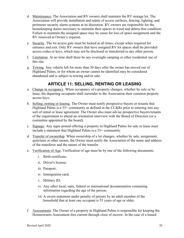- d. Maintenance. The Association and RV owners shall maintain the RV storage lot. The Association will provide installation and repair of access surfaces, fencing, lighting, and perimeter security alarm systems at its discretion. RV owners are responsible for the housekeeping duties necessary to maintain their spaces in weed and debris-free condition. Failure to maintain the assigned space may be cause for loss of space assignment and the RV removed at Owner's expense.
- e. Security. The lot access gate must be locked at all times, except when required for entrance and exit. Only RV owners that have assigned RV lot spaces shall be provided access codes or keys, which may not be disclosed or transferred to any other person.
- f. Limitation. At no time shall there be any overnight camping or other residential use of this site.
- g. Towing. Any vehicle left for more than 30 days after the owner has moved out of Highland Palms, or for whom an owner cannot be identified may be considered abandoned and is subject to towing and/or sale.

# **ARTICLE 11: SELLING, RENTING OR LEASING**

- a. Change in occupancy. When occupancy of a property changes, whether by sale or by lease, the departing occupants shall surrender to the Association their common property access keys.
- b. Selling, renting or leasing. The Owner must notify prospective buyers or tenants that Highland Palms is a  $55+$  community as defined in the CC&Rs prior to entering into any sort of rental or lease agreement. The Owner also must advise prospective buyers/tenants of the requirement to attend an orientation interview with the Board of Directors (or a committee appointed by the board).
- c. Signage: Any signs posted offering a property in Highland Palms for sale or lease must include a statement that Highland Palms is a 55+ community.
- d. Transfer of ownership. When ownership of a lot changes, whether by sale, assignment, quitclaim or other means, the Owner must notify the Association of the name and address of the transferee and the nature of the transfer.
- e. Verification of Age. Verification of age must be by one of the following documents:
	- i. Birth certificate;
	- ii. Driver's license;
	- iii. Passport;
	- iv. Immigration card;
	- v. Military ID;
	- vi. Any other local, state, federal or international documentation containing information regarding the age of the person;
	- vii. A sworn statement under penalty of perjury by an adult member of the household that at least one occupant is 55 years of age or older.
- f. Assessments. The Owner of a property in Highland Palms is responsible for keeping the Homeowners Assessment fees current through close of escrow. In the case of a leased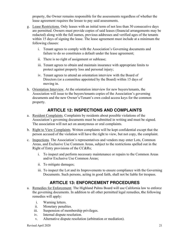property, the Owner remains responsible for the assessments regardless of whether the lease agreement requires the lessee to pay said assessments.

- g. Lease Restrictions. Only leases with an initial term of not less than 30 consecutive days are permitted. Owners must provide copies of said leases (financial arrangements may be redacted) along with the full names, previous addresses and verified ages of the tenants within 15 days of signing the lease. The lease agreement must include at a minimum the following clauses:
	- i. Tenant agrees to comply with the Association's Governing documents and failure to do so constitutes a default under the lease agreement;
	- ii. There is no right of assignment or sublease;
	- iii. Tenant agrees to obtain and maintain insurance with appropriate limits to protect against property loss and personal injury;
	- iv. Tenant agrees to attend an orientation interview with the Board of Directors (or a committee appointed by the Board) within 15 days of moving in.
- h. Orientation Interview. At the orientation interview for new buyers/tenants, the Association will issue to the buyers/tenants copies of the Association's governing documents and the new Owner's/Tenant's own coded access keys for the common property.

# **ARTICLE 12: INSPECTIONS AND COMPLAINTS**

- a. Resident Complaints. Complaints by residents about possible violations of the Association's governing documents must be submitted in writing and must be signed. The association will not act on anonymous or oral complaints.
- b. Right to View Complaints. Written complaints will be kept confidential except that the person accused of the violation will have the right to view, but not copy, the complaint.
- c. Inspections. The Association's representatives and vendors may enter Lots, Common Areas, and Exclusive Use Common Areas, subject to the restrictions spelled out in the Right of Entry provisions of the CC&Rs;
	- i. To inspect and perform necessary maintenance or repairs to the Common Areas and/or Exclusive Use Common Areas;
	- ii. To mitigate damages;
	- iii. To inspect the Lot and its Improvements to ensure compliance with the Governing Documents. Such persons, acting in good faith, shall not be liable for trespass.

### **ARTICLE 13: ENFORCEMENT PROCEDURES**

- a. Remedies for Enforcement. The Highland Palms Board will use California law to enforce the governing documents. In addition to all other permitted legal remedies, **t**he following remedies will apply:
	- i. Warning letters.
	- ii. Monetary penalties.
	- iii. Suspension of membership privileges.
	- iv. Internal dispute resolution.
	- v. Alternative dispute resolution (arbitration or mediation).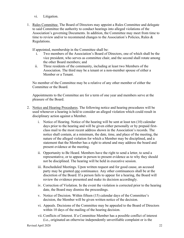vi. Litigation.

1. Rules Committee. The Board of Directors may appoint a Rules Committee and delegate to said Committee the authority to conduct hearings into alleged violations of the Association's governing Documents. In addition, the Committee may meet from time to time to review and/or to recommend changes to the Association's Policies, Rules  $\&$ Regulations.

If appointed, membership in the Committee shall be:

- i. Two members of the Association's Board of Directors, one of which shall be the vice president, who serves as committee chair, and the second shall rotate among the other Board members; and
- ii. Three residents of the community, including at least two Members of the Association. The third may be a tenant or a non-member spouse of either a Member or a Tenant.

No member of the Committee may be a relative of any other member of either the Committee or the Board.

Appointments to the Committee are for a term of one year and members serve at the pleasure of the Board.

- 2. Notice and Hearing Procedures. The following notice and hearing procedures will be used whenever a hearing is held to consider an alleged violation which could result in disciplinary action against a Member.
	- i. Notice of Hearing. Notice of the hearing will be sent at least ten (10) calendar days prior to the hearing and will be given either personally or by prepaid firstclass mail to the most recent address shown in the Association's records. The notice shall contain, at a minimum, the date, time, and place of the meeting, the nature of the alleged violation for which a Member may be disciplined, and a statement that the Member has a right to attend and may address the board and present evidence at the meeting.
	- ii. Opportunity to Be Heard. Members have the right to send a letter, to send a representative, or to appear in person to present evidence as to why they should not be disciplined. The hearing will be held in executive session.
	- iii. Rescheduled Meetings. Upon written request and for good cause, an accused party may be granted one continuance. Any other continuances shall be at the discretion of the Board. If a person fails to appear for a hearing, the Board will review the evidence presented and make its decision accordingly.
	- iv. Correction of Violation. In the event the violation is corrected prior to the hearing date, the Board may dismiss the proceedings.
	- v. Notice of Decision. Within fifteen (15) calendar days of the Committee's decision, the Member will be given written notice of the decision.
	- vi. Appeals. Decisions of the Committee may be appealed to the Board of Directors within 10 days of the mailing of the hearing decision.
	- vii. Conflicts of Interest. If a Committee Member has a possible conflict of interest (i.e., originated an otherwise independently unverifiable complaint or is the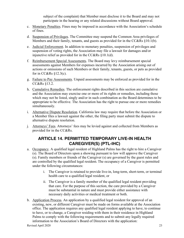subject of the complaint) that Member must disclose it to the Board and may not participate in the hearing or any related discussions without Board approval.

- c. Monetary Penalties. Fines may be imposed in accordance with the Association's schedule of fines.
- d. Suspension of Privileges. The Committee may suspend the Common Area privileges of Members and their family, tenants, and guests as provided for in the CC&Rs §10.1(b).
- e. Judicial Enforcement. In addition to monetary penalties, suspension of privileges and suspension of voting rights, the Association may file a lawsuit for damages and/or injunctive relief as provided for in the CC&Rs §10.1(d).
- f. Reimbursement Special Assessments. The Board may levy reimbursement special assessments against Members for expenses incurred by the Association arising out of actions or omissions of such Members or their family, tenants, guests, or pets as provided for in CC&Rs §12.3(c).
- g. Failure to Pay Assessments. Unpaid assessments may be enforced as provided for in the CC&Rs §13.2.
- h. Cumulative Remedies. The enforcement rights described in this section are cumulative and the Association may exercise one or more of its rights or remedies, including those which may not be listed, singly and/or in such combination as the Board determines to be appropriate to be effective. The Association has the right to pursue one or more remedies simultaneously.
- i. Alternative Dispute Resolution. California law may require that before the Association or a Member files a lawsuit against the other, the filing party must submit the dispute to alternative dispute resolution.
- j. Attorneys' Fees. Attorneys' fees may be levied against and collected from Members as provided for in the CC&Rs.

#### **ARTICLE 14. PERMITTED TEMPORARY LIVE-IN HEALTH CAREGIVER(S) (PTL-IHC)**

- a. Occupancy. A qualified legal resident of Highland Palms has the right to hire a Caregiver (s). The Board of Directors upon a showing pursuant to law will approve the Caregiver (s). Family members or friends of the Caregiver (s) are governed by the guest rules and are controlled by the qualified legal resident. The occupancy of a Caregiver is permitted under the following circumstances:
	- i. The Caregiver is retained to provide live-in, long-term, short-term, or terminal health care to a qualified legal resident, or
	- ii. The Caregiver is a family member of the qualified legal resident providing that care. For the purpose of this section, the care provided by a Caregiver must be substantial in nature and must provide either assistance with necessary daily activities or medical treatment or both.
- b. Application Process. An application by a qualified legal resident for approval of an existing, new, or different Caregiver must be made on forms available at the Association office. The application requires any qualified legal resident applying to have, to continue to have, or to change, a Caregiver residing with them in their residence in Highland Palms to comply with the following requirements and to submit any legally required information to the Association's Board of Directors with the application: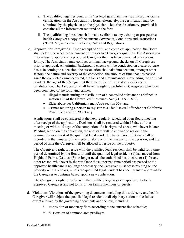- i. The qualified legal resident, or his/her legal guardian, must submit a physician's certification, on the Association's form. Alternately, the certification may be submitted by the physician on the physician's letterhead stationery, provided it contains all the information required on the form.
- ii. The qualified legal resident shall make available to any existing or prospective health Caregiver a copy of the current Covenants, Conditions and Restrictions ("CC&Rs") and current Policies, Rules and Regulations.
- c. Approval for Caregiver(s). Upon receipt of a full and complete application, the Board shall determine whether the current or prospective Caregiver qualifies. The Association may refuse to approve any proposed Caregiver that has been convicted of a serious felony. The Association may conduct criminal background checks on all Caregivers prior to approval. All criminal background checks will be conducted on a case-by-case basis. In coming to a decision, the Association shall take into account, amongst other factors, the nature and severity of the conviction, the amount of time that has passed since the convicted crime occurred, the facts and circumstances surrounding the criminal conduct, the age of the Caregiver at the time of the crime, and any evidence of rehabilitation. The Association shall have the right to prohibit all Caregivers who have been convicted of the following crimes:
	- Illegal manufacturing or distribution of a controlled substance as defined in section 102 of the Controlled Substances Act (21 U.S.C. 802);
	- Elder abuse per California Penal Code section 368; and
	- Crimes requiring a person to register as a Tier 3 sexual offender per California Penal Code section 290 et seq.

Applications shall be considered at the next regularly scheduled open Board meeting after receipt of the application. Decisions shall be rendered within 15 days of that meeting or within 15 days of the completion of a background check, whichever is later. Pending action on the application, the applicant will be allowed to reside in the community as a guest of the qualified legal resident. The decision of Board shall be recorded in the minutes of the meeting, along with the reasons for the decision, and the period of time the Caregiver will be allowed to reside on the property.

The Caregiver's right to reside with the qualified legal resident shall be valid for a time period determined by the Board or until the qualified legal resident (1) has moved from Highland Palms, (2) dies, (3) no longer needs the authorized health care, or (4) for any other reason**,** whichever is shorter. Once the authorized time period has passed or the approved health care is no longer necessary, the Caregiver must cease residing on the property within 30 days, unless the qualified legal resident has been granted approval for the Caregiver to continue based upon a new application.

The Caregiver's right to reside with the qualified legal resident applies only to the approved Caregiver and not to his or her family members or guests.

- d. Violations. Violations of the governing documents, including this article, by any health Caregiver will subject the qualified legal resident to disciplinary action to the fullest extent allowed by the governing documents and the law, including:
	- i. Imposition of monetary fines according to the current fine schedule;
	- ii. Suspension of common area privileges;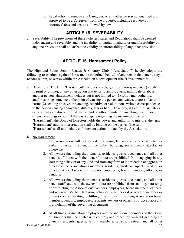iii. Legal action to remove any Caregiver, or any other person not qualified and approved to be a Caregiver, from the property, including recovery of attorneys' fees and costs as allowed by law.

# **ARTICLE 15. SEVERABILITY**

a. Severability. The provisions of these Policies, Rules and Regulations shall be deemed independent and severable, and the invalidity or partial invalidity or unenforceability of any one provision shall not affect the validity or enforceability of any other provision.

### **ARTICLE 16. Harassment Policy**

The Highland Palms Senior Estates & Country Club ("Association") hereby adopts the following restrictions against Harassment (as defined below) of any person that enters, stays, resides within, or works within the Association's development (the "Development").

- a. Definitions. The term "Harassment" includes words, gestures, correspondence (whether in print or online), or any other action that tends to annoy, alarm, intimidate or abuse another person. Harassment includes but is not limited to: (1) following, bothering, and/or stalking someone to the point of causing the person annoyance, distress, fear or harm; (2) sending abusive, threatening, repetitive or voluminous written correspondence to the person causing annoyance, distress, fear or harm. To annoy, isto disturb, irritate or cause significant discomfort. Abuse includes without limitation insulting, hurtful, or offensive wrongs or acts. If there is a dispute regarding the meaning of the term "Harassment", the Board of Directors holds the power and authority to interpret the term "Harassment" and its interpretation shall be binding on the parties. The term "Harassment" shall not include enforcement action initiated by the Association.
- b. No Harassment.
	- 1. The Association will not tolerate Harassing behavior of any kind, whether verbal, physical, written, online cyber bullying, social media attacks, or otherwise.
	- 2. All owners (including their tenants, residents, guests, occupants, and all other persons affiliated with the owners' units) are prohibited from engaging in any Harassing behavior of any kind and from any form of intimidation or aggression directed at the Association's members, residents, guests, occupants, invitees, or directed at the Association's agents, employees, board members, officers, or vendors.
	- 3. All owners (including their tenants, residents, guests, occupants, and all other persons affiliated with the owners' units) are prohibited from stalking, harassing, or obstructing the Association's vendors, employees, board members, officers, and workers. Verbal Harassing behavior (whether oral or written via letter or online) such as berating, belittling, insulting or threatening Association board members, vendors, employees, residents, owners or others is not acceptable and is a violation of the governing documents.
	- 4. At all times, Association employees and the individual members of the Board of Directors shall be treatedwith courtesy and respect by owners (including the owner's residents, guests, family members, tenants, trustees, and all other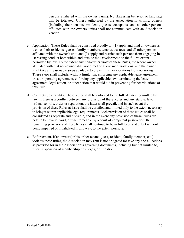persons affiliated with the owner's unit). No Harassing behavior or language will be tolerated. Unless authorized by the Association in writing, owners (including their tenants, residents, guests, occupants, and all other persons affiliated with the owners' units) shall not communicate with an Association vendor.

- c. Application. These Rules shall be construed broadly to: (1) apply and bind all owners as well as their residents, guests, family members, tenants, trustees, and all other persons affiliated with the owner's unit; and (2) apply and restrict such persons from engaging in Harassing conduct both within and outside the Development, to the fullest extent permitted by law. To the extent any non-owner violates these Rules, the record owner affiliated with that non-owner shall not direct or allow such violations, and the owner shall take all reasonable steps available to prevent further violations from occurring. These steps shall include, without limitation, enforcing any applicable lease agreement, trust or operating agreement, enforcing any applicable law, terminating the lease agreement, legal action, or other action that would aid in preventing further violations of this Rule.
- d. Conflicts Severability. These Rules shall be enforced to the fullest extent permitted by law. If there is a conflict between any provision of these Rules and any statute, law, ordinance, rule, order or regulation, the latter shall prevail, and in such event the provision of these Rules at issue shall be curtailed and limited only to the extent necessary to bring it within applicable legal requirements. Each provision of these Rules shall be considered as separate and divisible, and in the event any provision of these Rules are held to be invalid, void, or unenforceable by a court of competent jurisdiction, the remaining provisions of these Rules shall continue to be in full force and effect without being impaired or invalidated in any way, to the extent possible.
- e. Enforcement. If an owner (or his or her tenant, guest, resident, family member, etc.) violates these Rules, the Association may (but is not obligated to) take any and all actions as provided for in the Association's governing documents, including but not limited to, fines, suspension of membership privileges, or litigation.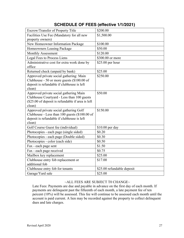| Escrow/Transfer of Property Title                           | \$200.00                   |
|-------------------------------------------------------------|----------------------------|
| Facilities Use Fee (Mandatory for all new                   | \$1,500.00                 |
| property owners)                                            |                            |
| New Homeowner Information Package                           | \$100.00                   |
| Homeowners Leasing Package                                  | \$50.00                    |
| <b>Monthly Assessment</b>                                   | \$120.00                   |
| Legal Fees to Process Liens                                 | \$300.00 or more           |
| Administrative cost for extra work done by                  | \$25.00 per hour           |
| office                                                      |                            |
| Returned check (unpaid by bank)                             | \$25.00                    |
| Approved private social gathering: Main                     | \$250.00                   |
| Clubhouse - 50 or more guests (\$100.00 of                  |                            |
| deposit is refundable if clubhouse is left                  |                            |
| clean)                                                      |                            |
| Approved private social gathering Main                      | \$50.00                    |
| Clubhouse Courtyard - Less than 100 guests                  |                            |
| (\$25.00 of deposit is refundable if area is left<br>clean) |                            |
| Approved private social gathering Golf                      | \$150.00                   |
| Clubhouse - Less than 100 guests (\$100.00 of               |                            |
| deposit is refundable if clubhouse is left                  |                            |
| clean)                                                      |                            |
| Golf Course Guest fee (individual)                          | \$10.00 per day            |
| Photocopies - each page (single sided)                      | \$0.20                     |
| Photocopies - each page (Double sided)                      | \$0.30                     |
| Photocopies - color (each side)                             | \$0.50                     |
| Fax - each page sent                                        | \$1.50                     |
| Fax - each page received                                    | \$0.75                     |
| Mailbox key replacement                                     | \$25.00                    |
| Clubhouse entry fob replacement or                          | \$17.00                    |
| additional fob                                              |                            |
| Clubhouse entry fob for tenants                             | \$25.00 refundable deposit |
| Garage/Yard sale                                            | \$25.00                    |

#### **SCHEDULE OF FEES (effective 1/1/2021)**

#### $\sim$ ALL FEES ARE SUBJECT TO CHANGE $\sim$

Late Fees: Payments are due and payable in advance on the first day of each month. If payments are delinquent past the fifteenth of each month, a late payment fee of ten percent (10%) will be assessed. This fee will continue to be assessed each month until the account is paid current. A lien may be recorded against the property to collect delinquent dues and late charges.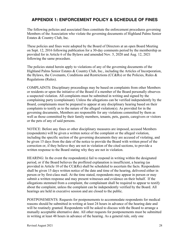### **APPENDIX 1: ENFORCEMENT POLICY & SCHEDULE OF FINES**

The following policies and associated fines constitute the enforcement procedures governing Members of the Association who violate the governing documents of Highland Palms Senior Estates & Country Club, Inc.

These policies and fines were adopted by the Board of Directors at an open Board Meeting on Sept. 12, 2016 following publication for a 30-day comments period by the membership as provided for in Article 6 of the Bylaws and amended Nov. 5, 2020 and Aug. 12, 2021 following the same procedure.

The policies stated herein apply to violations of any of the governing documents of the Highland Palms Senior Estates & Country Club, Inc., including the Articles of Incorporation, the Bylaws, the Covenants, Conditions and Restrictions (CC&Rs) or the Policies, Rules & Regulations (Rules).

COMPLAINTS: Disciplinary proceedings may be based on complaints from other Members or residents or upon the initiative of the Board if a member of the Board personally observes a suspected violation. All complaints must be submitted in writing and signed by the complaining party (complainant). Unless the allegations can be verified independently by the Board, complainants must be prepared to appear at any disciplinary hearing based on their complaints to testify as to the nature of the alleged violation(s). As provided for in the governing documents, Members are responsible for any violations committed by them as well as those committed by their family members, tenants, pets, guests, caregivers or visitors or the pets of any of said persons.

NOTICE: Before any fines or other disciplinary measures are imposed, accused Members (respondents) will be given a written notice of the complaint or the alleged violation, including the specific section of the governing documents they are accused of violating, and be given 15 days from the date of the notice to provide the Board with written proof of the correction or, if they believe they are not in violation of the cited sections, to provide a written response to the Board stating why they are not in violation.

HEARING: In the event the respondent(s) fail to respond in writing within the designated period, or if the Board believes the proffered explanation is insufficient, a hearing (as provided in Article 10 of the CC&Rs) shall be scheduled to ascertain the facts. Respondents shall be given 15 days written notice of the date and time of the hearing, delivered either in person or by first-class mail. At the time stated, respondents may appear in person or may submit a written response and may present witnesses and evidence on their behalf. If the allegations stemmed from a complaint, the complainant shall be required to appear to testify about the complaint, unless the complaint can be independently verified by the Board. All hearings are held in executive session and are closed to the public.

POSTPONEMENTS: Requests for postponements to accommodate respondents for medical reasons should be submitted in writing at least 24 hours in advance of the hearing date and will be routinely granted. Respondents will be asked to discuss with the Board to arrange a mutually acceptable alternative date. All other requests for postponements must be submitted in writing at least 48 hours in advance of the hearing. As a general rule, only one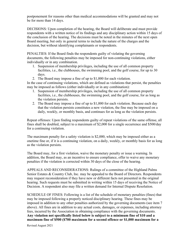postponement for reasons other than medical accommodations will be granted and may not be for more than 14 days.

DECISIONS: Upon completion of the hearing, the Board will deliberate and must provide respondents with a written notice of its findings and any disciplinary action within 15 days of the conclusion of the hearing. The decisions must be noted in the minutes of the next open Board meeting, but only in general terms to include the nature of the charges and the decision, but without identifying complainants or respondents.

PENALTIES: If the Board finds the respondents guilty of violating the governing documents, the following penalties may be imposed for non-continuing violations, either individually or in any combination.

- 1. Suspension of membership privileges, including the use of all common property facilities, i.e., the clubhouses, the swimming pool, and the golf course, for up to 30 days.
- 2. The Board may impose a fine of up to \$1,000 for each violation.

In the case of continuing violations, which are defined as violations that persist, the penalties may be imposed as follows (either individually or in any combination):

- 1. Suspension of membership privileges, including the use of all common property facilities, i.e., the clubhouses, the swimming pool, and the golf course, for as long as the violation persists.
- 2. The Board may impose a fine of up to \$1,000 for each violation. Because each day that the violation persists constitutes a new violation, the fine may be imposed on a daily, weekly, or monthly basis, and continues for as long as the violation persists.

Repeat offenses: Upon finding respondents guilty of repeat violations of the same offense, all fines shall be doubled, subject to a maximum of \$2,000 for a single occurrence and \$500/day for a continuing violation.

The maximum penalty for a safety violation is \$2,000, which may be imposed either as a onetime fine or, if it is a continuing violation, on a daily, weekly, or monthly basis for as long as the violation persists.

The Board may, for a first violation, waive the monetary penalty or issue a warning. In addition, the Board may, as an incentive to ensure compliance, offer to waive any monetary penalties if the violation is corrected within 30 days of the close of the hearing.

APPEALS AND RECONSIDERATIONS: Rulings of a committee of the Highland Palms Senior Estates & Country Club, Inc. may be appealed to the Board of Directors. Respondents may request reconsideration if they have new or different facts not presented in the original hearing. Such requests must be submitted in writing within 15 days of receiving the Notice of Decision. A respondent also may file a written demand for Internal Dispute Resolution.

SCHEDULE OF FINES: Following is a list of the schedule of monetary penalties (fines) that may be imposed following a properly noticed disciplinary hearing. These fines may be imposed in addition to any other penalties authorized by the governing documents (see item 7 above). All fines are in addition to any actual costs, damages, or expenses, including attorney fees, incurred by the Association in obtaining compliance with the governing documents. **Any violation not specifically listed below is subject to a minimum fine of \$10 and a maximum fine of \$500 (\$700 maximum for a second offence or \$1,000 maximum for a**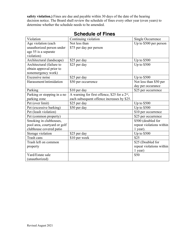**safety violation.)** Fines are due and payable within 30 days of the date of the hearing decision notice. The Board shall review the schedule of fines every other year (even years) to determine whether the schedule needs to be amended.

| Violation                    | Continuing violation                                      | Single Occurrence        |
|------------------------------|-----------------------------------------------------------|--------------------------|
| Age violation (each          | Not less than                                             | Up to \$500 per person   |
| unauthorized person under    | \$75 per day per person                                   |                          |
| age 55 is a separate         |                                                           |                          |
| violation)                   |                                                           |                          |
| Architectural (landscape)    | \$25 per day                                              | Up to $$500$             |
| Architectural (failure to    | \$25 per day                                              | Up to $$500$             |
| obtain approval prior to     |                                                           |                          |
| nonemergency work)           |                                                           |                          |
| Excessive noise              | \$25 per day                                              | Up to $$500$             |
| Harassment/intimidation      | \$50 per occurrence                                       | Not less than \$50 per   |
|                              |                                                           | day per occurance        |
| Parking                      | \$10 per day                                              | \$25 per occurrence      |
| Parking or stopping in a no  | A warning for first offence, \$25 for a 2 <sup>nd</sup> , |                          |
| parking zone                 | each subsequent offence increases by \$25.                |                          |
| Pet (over limit)             | \$25 per day                                              | Up to \$500              |
| Pet (excessive barking)      | \$50 per day                                              | Up to \$500              |
| Pet (leash violation)        |                                                           | \$10 per occurrence      |
| Pet (common property)        |                                                           | \$25 per occurrence      |
| Smoking in clubhouses,       |                                                           | \$500 (doubled for       |
| pool area, courtyard or golf |                                                           | repeat violations within |
| clubhouse covered patio      |                                                           | 1 year).                 |
| Storage violation            | \$25 per day                                              | Up to \$500              |
| Trash cans                   | \$10 per week                                             | \$25                     |
| Trash left on common         |                                                           | \$25 (Doubled for        |
| property                     |                                                           | repeat violations within |
|                              |                                                           | 1 year)                  |
| Yard/Estate sale             |                                                           | \$50                     |
| (unauthorized)               |                                                           |                          |

# **Schedule of Fines**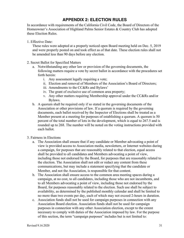### **APPENDIX 2: ELECTION RULES**

In accordance with requirements of the California Civil Code, the Board of Directors of the Homeowner's Association of Highland Palms Senior Estates & Country Club has adopted these Election Rules.

1. Effective Date:

These rules were adopted at a properly noticed open Board meeting held on Dec. 5, 2019 and were properly posted on and took effect as of that date. These election rules shall not be amended less than 90 days before any election.

- 2. Secret Ballot for Specified Matters
	- a. Notwithstanding any other law or provision of the governing documents, the following matters require a vote by secret ballot in accordance with the procedures set forth herein:
		- i. Any assessment legally requiring a vote;
		- ii. Election and removal of Members of the Association's Board of Directors;
		- iii. Amendments to the CC&Rs and Bylaws'
		- iv. The grant of exclusive use of common area property;
		- v. Any other matters requiring Membership approval under the CC&Rs and/or Bylaws.
	- b. A quorum shall be required only if so stated in the governing documents of the Association or other provisions of law. If a quorum is required by the governing documents, each ballot received by the Inspector of Elections shall be treated as a Member present at a meeting for purposes of establishing a quorum. A quorum is 50 percent of the total number of lots in the development, which is equal to 267.5 and is rounded up to 268. The number will be noted on the voting instructions provided with each ballot.
- 3. Fairness in Elections
	- a. The Association shall ensure that if any candidate or Member advocating a point of view is provided access to Association media, newsletters, or Internet websites during a campaign, for purposes that are reasonably related to that election, equal access shall be provided to all candidates and Members advocating a point of view, including those not endorsed by the Board, for purposes that are reasonably related to the election. The Association shall not edit or redact any content from these communications, but may include a statement specifying that the candidate or Member, and not the Association, is responsible for that content.
	- b. The Association shall ensure access to the common area meeting spaces during a campaign, at no cost, to all candidates, including those who are not incumbents, and to all Members advocating a point of view, including those not endorsed by the Board, for purposes reasonably related to the election. Such use shall be subject to availability, as determined by the published monthly calendar and shall be limited to no more than two events per day, each of which may not exceed 2-hours in duration.
	- c. Association funds shall not be used for campaign purposes in connection with any Association Board election. Association funds shall not be used for campaign purposes in connection with any other Association election, except to the extent necessary to comply with duties of the Association imposed by law. For the purpose of this section, the term "campaign purposes" includes but is not limited to: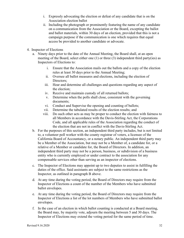- i. Expressly advocating the election or defeat of any candidate that is on the Association election ballot
- ii. Including the photograph or prominently featuring the name of any candidate on a communication from the Association or the Board, excepting the ballot and ballot materials, within 30 days of an election, provided that this is not a campaign purpose if the communication is one which requires that equal access be provided to another candidate or advocate.
- 4. Inspector of Elections
	- a. Ninety days prior to the date of the Annual Meeting, the Board shall, at an open meeting of the Board, select either one (1) or three (3) independent third party(ies) as Inspectors of Elections to:
		- i. Ensure that the Association mails out the ballots and a copy of the election rules at least 30 days prior to the Annual Meeting;
		- ii. Oversee all ballot measures and elections, including the election of Directors:
		- iii. Hear and determine all challenges and questions regarding any aspect of the election;
		- iv. Receive and maintain custody of all returned ballots;
		- v. Determine when the polls shall close, consistent with the governing documents;
		- vi. Conduct and Supervise the opening and counting of ballots;
		- vii. Determine the tabulated results of the election results; and
		- viii. Do such other acts as may be proper to conduct the election with fairness to all Members in accordance with the Davis-Stirling Act, the Corporations Code, and all applicable rules of the Association regarding the conduct of the election that are not in conflict with the Davis-Stirling Act.
	- b. For the purposes of this section, an independent third party includes, but is not limited to, a volunteer poll worker with the county registrar of voters, a licensee of the California Board of Accountancy, or a notary public. An independent third party may be a Member of the Association, but may not be a Member of, a candidate for, or a relative of a Member or candidate for, the Board of Directors. In addition, an independent third party may not be a person, business, or subdivision of a business entity who is currently employed or under contract to the association for any compensable services other than serving as an inspector of elections.
	- c. The Inspector of Elections may appoint up to two deputies to assist in fulfilling the duties of the office. Said assistants are subject to the same restrictions as the Inspector, as outlined in paragraph B above.
	- d. At any time during the voting period, the Board of Directors may require from the Inspector of Elections a count of the number of the Members who have submitted ballot envelopes.
	- e. At any time during the voting period, the Board of Directors may require from the Inspector of Elections a list of the lot numbers of Members who have submitted ballot envelopes.
	- f. In the case of an election in which ballot counting is conducted at a Board meeting, the Board may, by majority vote, adjourn the meeting between 5 and 30 days. The Inspector of Elections may extend the voting period for the same period of time.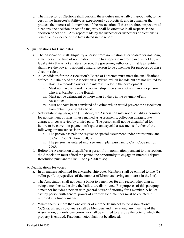- g. The Inspector of Elections shall perform these duties impartially, in good faith, to the best of the Inspector's ability, as expeditiously as practical, and in a manner that protects the interest of all members of the Association. If there are three inspectors of elections, the decision or act of a majority shall be effective in all respects as the decision or act of all. Any report made by the inspector or inspectors of elections is prima facie evidence of the facts stated in the report.
- 5. Qualifications for Candidates
	- a. The Association shall disqualify a person from nomination as candidate for not being a member at the time of nomination. If title to a separate interest parcel is held by a legal entity that is not a natural person, the governing authority of that legal entity shall have the power to appoint a natural person to be a member for purposes of these election rules.
	- b. All candidates for the Association's Board of Directors must meet the qualifications defined in Article 5 of the Association's Bylaws, which include but are not limited to:
		- i. Having a recorded ownership interest in a lot in the development;
		- ii. Must not have a recorded co-ownership interest in a lot with another person who is a Member of the Board;
		- iii. Must not be delinquent by more than 30 days in the payment of any Assessment.
		- iv. Must not have been convicted of a crime which would prevent the association from obtaining a fidelity bond.
	- c. Notwithstanding paragraph (iii) above, the Association may not disqualify a nominee for nonpayment of fines, fines renamed as assessments, collection charges, late charges, or costs levied by a third party. The person shall not be disqualified for failure to be current in payment of regular and special assessments if either of the following circumstances is true:
		- i. The person has paid the regular or special assessment under protest pursuant to Civil Code Section 5658; or
		- ii. The person has entered into a payment plan pursuant to Civil Code section 5665.
	- d. Before the Association disqualifies a person from nomination pursuant to this section, the Association must afford the person the opportunity to engage in Internal Dispute Resolution pursuant to Civil Code § 5900 et seq.
- 6. Qualifications for voters
	- a. In all matters submitted for a Membership vote, Members shall be entitled to one (1) ballot per Lot (regardless of the number of Members having an interest in the Lot).
	- b. The Association shall not deny a ballot to a member for any reason other than not being a member at the time the ballots are distributed. For purposes of this paragraph, a member includes a person with general power of attorney for a member. A ballot cast by person with general power of attorney for a member must be counted if returned in a timely manner.
	- c. Where there is more than one owner of a property subject to the Association's CC&Rs, all such co-owners shall be Members and may attend any meeting of the Association, but only one co-owner shall be entitled to exercise the vote to which the property is entitled. Fractional votes shall not be allowed.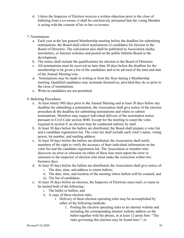- d. Unless the Inspector of Election receives a written objection prior to the close of balloting from a co-owner, it shall be conclusively presumed that the voting Member is acting with the consent of his or her co-owners.
- 7. Nominations
	- a. Each year at the last general Membership meeting before the deadline for submitting nominations, the Board shall solicit nominations of candidates for election to the Board of Directors. The solicitation also shall be published in Association media, newsletters, or Internet websites and posted on the public bulletin Board in the development.
	- b. The notice shall include the qualifications for election to the Board of Directors.
	- c. All nominations must be received no later than 30 days before the deadline for the membership to be given a list of the candidates and to be advised of the time and date of the Annual Meeting/vote.
	- d. Nominations may be made in writing or from the floor during a Membership meeting. Qualified candidates may nominate themselves, provided they do so prior to the close of nominations.
	- e. Write-in candidates are not permitted.
- 8. Balloting Procedures
	- a. At least ninety (90) days prior to the Annual Meeting and at least 30 days before any deadline for submitting a nomination, the Association shall give notice of the election procedure & the deadline for submitting nominations and where to submit nominations. Members may request individual delivery of the nomination notice pursuant to Civil Code section 4040. Except for the meeting to count the votes required in section 9, an election may be conducted entirely by mail.
	- b. At least 30 days before the ballots are distributed, the Board shall prepare a voter list and a candidate registration list. The voter list shall include each voter's name, voting power, lot number, and mailing address.
	- c. At least 30 days before the ballots are distributed, the Association shall notify members of the right to verify the accuracy of their individual information on the voter list and the candidate registration list. The Association or member who discovers an error or omission on either of these lists must report the error or omission to the inspector of election who must make the correction within two business days.
	- d. At least 30 days before the ballots are distributed, the Association shall give notice of:
		- i. The date, time, and address to return ballots;
		- ii. The date, time, and location of the meeting where ballots will be counted; and
		- iii. The list of candidates.
	- e. At least 30 days before an election, the Inspector of Elections must mail, or cause to be mailed both of the following:
		- i. The ballot or ballots; and
		- ii. A copy of these election rules.
			- i. Delivery of these election operating rules may be accomplished by either of the following methods:
				- 1. Posting the election operating rules to an internet website and including the corresponding internet website address on the ballot together with the phrase, in at least 12-point font: "The rules governing this election may be found here:"; or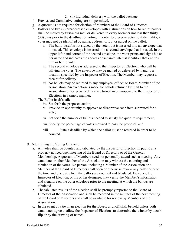- 2. (ii) Individual delivery with the ballot package.
- f. Proxies and Cumulative voting are not permitted.
- g. A quorum is not required for election of Members of the Board of Directors.
- h. Ballots and two (2) preaddressed envelopes with instructions on how to return ballots shall be mailed by first-class mail or delivered to every Member not less than thirty (30) days prior to the deadline for voting. In order to preserve voter confidentiality, a voter may not be identified by name, address, or Lot or parcel on the ballot.
	- i. The ballot itself is not signed by the voter, but is inserted into an envelope that is sealed. This envelope is inserted into a second envelope that is sealed. In the upper left-hand corner of the second envelope, the voter prints and signs his or her name and indicates the address or separate interest identifier that entitles him or her to vote.
	- ii. The second envelope is addressed to the Inspector of Election, who will be tallying the votes. The envelope may be mailed or delivered by hand to a location specified by the Inspector of Election. The Member may request a receipt for delivery.
	- iii. No ballots may be returned to any employee, officer or Board Member of the Association. An exception is made for ballots returned by mail to the Association office provided they are turned over unopened to the Inspector of Elections in a timely manner.
- i. The Ballot itself shall:
	- iv. Set forth the proposed action;
	- v. Provide an opportunity to approve or disapprove each item submitted for a vote;
	- vi. Set forth the number of ballots needed to satisfy the quorum requirement;
	- vii. Specify the percentage of votes required to pass the proposal; and
	- viii. State a deadline by which the ballot must be returned in order to be counted.
- 9. Determining the Voting Outcome
	- a. All votes shall be counted and tabulated by the Inspector of Election in public at a properly noticed open meeting of the Board of Directors or of the General Membership. A quorum of Members need not personally attend such a meeting. Any candidate or other Member of the Association may witness the counting and tabulation of the votes. No person, including a Member of the Association or a Member of the Board of Directors shall open or otherwise review any ballot prior to the time and place at which the ballots are counted and tabulated. However, the Inspector of Election, or his or her designee, may verify the Member's information and signature on the outer envelope prior to the meeting at which the ballots are tabulated.
	- b. The tabulated results of the election shall be promptly reported to the Board of Directors of the Association and shall be recorded in the minutes of the next meeting of the Board of Directors and shall be available for review by Members of the Association.
	- c. In the event of a tie in an election for the Board, a runoff shall be held unless both candidates agree to allow the Inspector of Elections to determine the winner by a coin flip or by the drawing of names.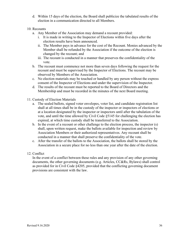- d. Within 15 days of the election, the Board shall publicize the tabulated results of the election in a communication directed to all Members.
- 10. Recounts
	- a. Any Member of the Association may demand a recount provided:
		- i. It is made in writing to the Inspector of Elections within five days after the election results have been announced.
		- ii. The Member pays in advance for the cost of the Recount. Monies advanced by the Member shall be refunded by the Association if the outcome of the election is changed by the recount; and
		- iii. The recount is conducted in a manner that preserves the confidentiality of the vote.
	- b. The recount must commence not more than seven days following the request for the recount and must be supervised by the Inspector of Elections. The recount may be observed by Members of the Association.
	- c. No election materials may be touched or handled by any person without the express consent of the Inspector of Elections and under the supervision of the Inspector.
	- d. The results of the recount must be reported to the Board of Directors and the Membership and must be recorded in the minutes of the next Board meeting.
- 11. Custody of Election Materials
	- a. The sealed ballots, signed voter envelopes, voter list, and candidate registration list shall at all times shall be in the custody of the inspector or inspectors of elections or at a location designated by the inspector or inspectors until after the tabulation of the vote, and until the time allowed by Civil Code §5145 for challenging the election has expired, at which time custody shall be transferred to the Association.
	- b. In the event of a recount or other challenge to the election process, the inspector (s) shall, upon written request, make the ballots available for inspection and review by Association Members or their authorized representatives. Any recount shall be conducted in a manner that shall preserve the confidentiality of the vote.
	- c. After the transfer of the ballots to the Association, the ballots shall be stored by the Association in a secure place for no less than one year after the date of the election.
- 12. Conflict

In the event of a conflict between these rules and any provision of any other governing documents, the other governing documents (e.g. Articles, CC&Rs, Bylaws) shall control as provided for in Civil Code §4205, provided that the conflicting governing document provisions are consistent with the law.